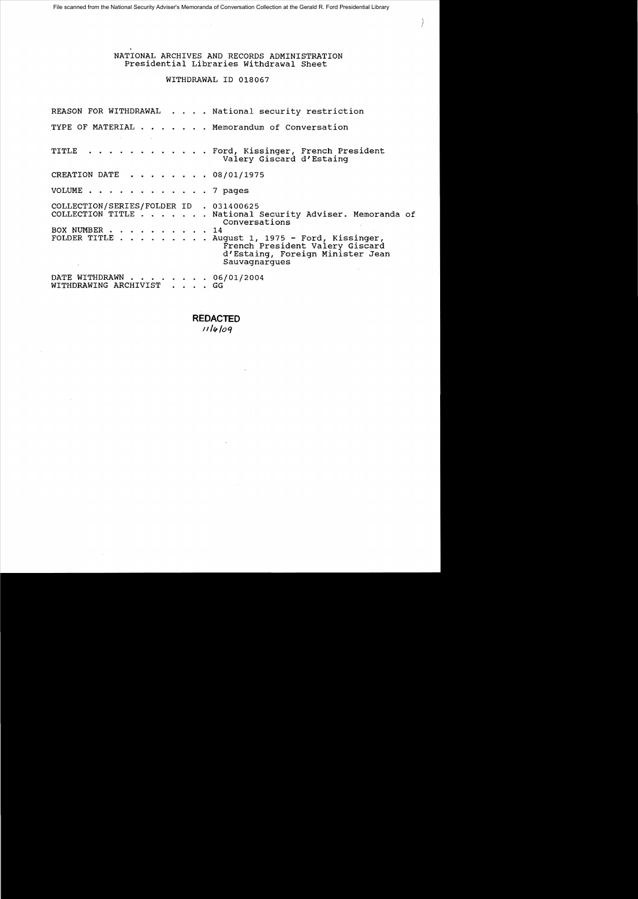# NATIONAL ARCHIVES AND RECORDS ADMINISTRATION Presidential Libraries withdrawal Sheet

# WITHDRAWAL ID 018067

REASON FOR WITHDRAWAL . . . . National security restriction TYPE OF MATERIAL . . . . . . Memorandum of Conversation TITLE . . . . . . . . . . . . Ford, Kissinger, French President Valery Giscard d'Estaing CREATION DATE  $\cdot \cdot \cdot \cdot \cdot \cdot \cdot 08/01/1975$ VOLUME • . . . . 7 pages COLLECTION/SERIES/FOLDER ID . 031400625 COLLECTION TITLE . . . . . . · National Security Adviser. Memoranda of Conversations BOX NUMBER . . . . . . . . . . 14<br>FOLDER TITLE . . . . . . . . Au FOLDER TITLE . . . · August 1, 1975 - Ford, Kissinger, French President Valery Giscard d'Estaing, Foreign Minister Jean Sauvagnargues DATE WITHDRAWN . . . . . . . 06/01/2004 WITHDRAWING ARCHIVIST . . . . GG

> **REDACTED**  *II/It /oq*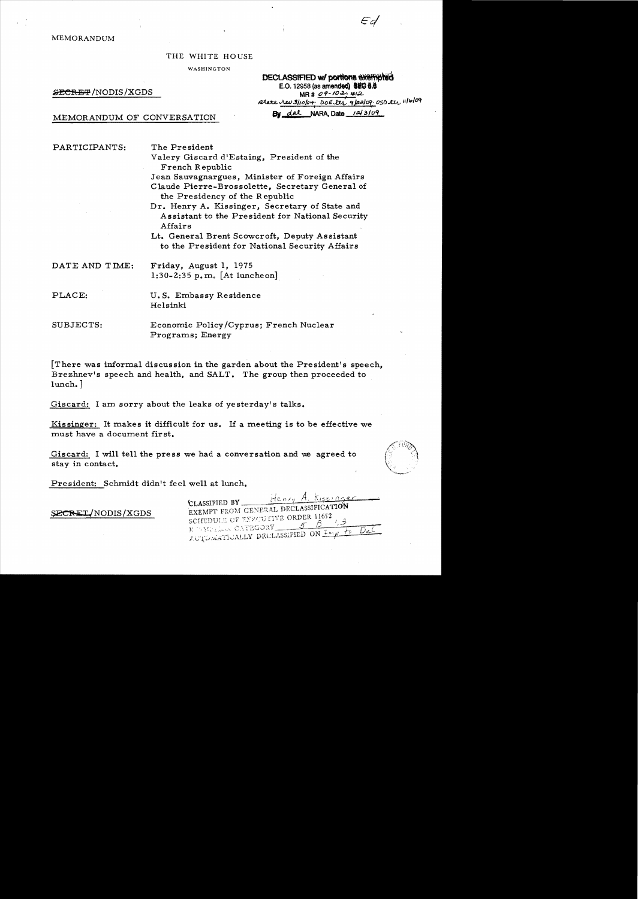MEMORANDUM

THE WHITE HOUSE

WASHINGTON

**DECLASSIFIED w/~portions exempted**<br>E.O. 12958 (as amended) **ILEO** 8.8 E.O. 12958 (as amend**ed) 8EG B.8**<br>E.O. 12958 (as amended) 8EG B.8<br>MR # *09-10-1:* 412 ~..ALt.J!JltoJ()....; f){)£~ 'P.;.JC!f,' OS()~ */lIb/oct* 

MEMORANDUM OF CONVERSATION By dal NARA, Date 12/3/09

PARTICIPANTS: The President

Valery Giscard d'Estaing, President of the French Republic Jean Sauvagnargues, Minister of Foreign Affairs

Claude Pierre-Brossolette, Secretary General of the Pre sidency of the Republic

Dr. Henry A. Kissinger, Secretary of State and Assistant to the President for National Security Affairs

Lt. General Brent Scowcroft, Deputy Assistant to the President for National Security Affairs

DATE AND TIME: Friday, August 1, 1975 1:30-2:35 p. m. [At luncheon]

PLACE: U.S. Embassy Residence Helsinki

SUBJECTS: Economic Policy/Cyprus; French Nuclear Programs; Energy

[There was informal discussion in the garden about the President's speech, Brezhnev's speech and health, and SALT. The group then proceeded to lunch. ]

Giscard: I am sorry about the leaks of yesterday's talks.

Kissinger: It makes it difficult for us. If a meeting is to be effective we must have a document first.

Giscard: I will tell the press we had a conversation and we agreed to stay in contact.



President: Schmidt didn't feel well at lunch.

SECRET/NODIS/XGDS

Henry A. Kissing CLASSIFIED BY\_ EXEMPT FROM GENERAL DECLASSIFICATION SCHEDULE OF EXPLUITIVE ORDER 11652 E WELL CATEGORY AUTOMETICALLY DECLASSIFIED ON Imp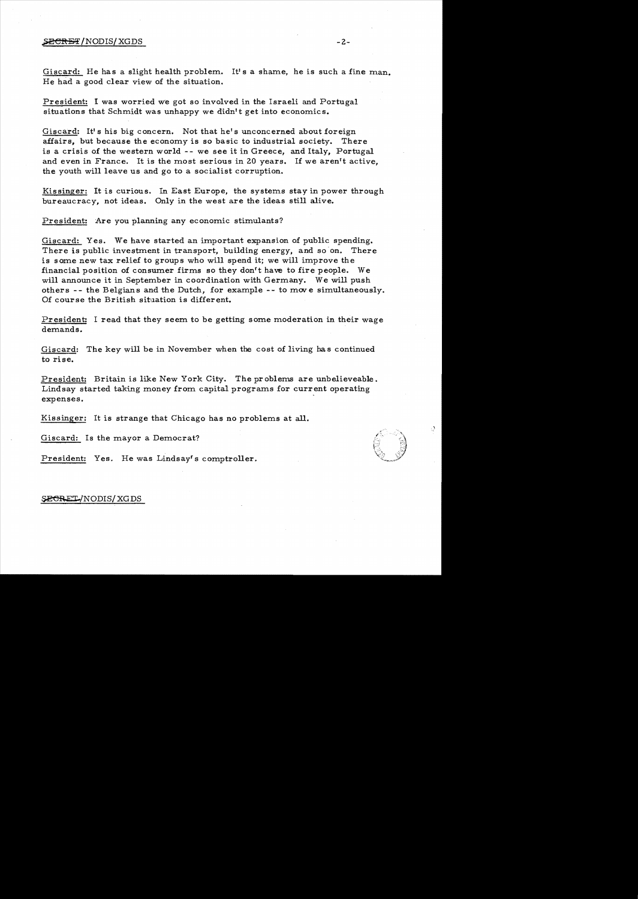### $\overline{\text{SECRBT}}$ /NODIS/XGDS -2-

Giscard: He has a slight health problem. It's a shame, he is such a fine man. He had a good clear view of the situation.

President: I was worried we got so involved in the Israeli and Portugal situations that Schmidt was unhappy we didn't get into economics.

Giscard: It's his big concern. Not that he's unconcerned about foreign affairs, but because the economy is so basic to industrial society. There is a crisis of the western world -- we see it in Greece, and Italy, Portugal and even in France. It is the most serious in 20 years. If we aren't active, the youth will leave us and go to a socialist corruption.

Kissinger: It is curious. In East Europe, the systems stay in power through bureaucracy, not ideas. Only in the west are the ideas still alive.

President: Are you planning any economic stimulants?

Giscard: Yes. We have started an important expansion of public spending. There is public investment in transport, building energy, and so on. There is some new tax relief to groups who will spend it; we will improve the financial position of consumer firms so they don't have to fire people. We will announce it in September in coordination with Germany. We will push others - - the Belgians and the Dutch, for example - - to *mov* e simultaneously. Of course the British situation is different.

President: I read that they seem to be getting some moderation in their wage demands.

Giscard: The key will be in November when the cost of living has continued to rise.

President: Britain is like New York City. The problems are unbelieveable. Lindsay started taking money from. capital programs for current operating expenses.

Kissinger: It is strange that Chicago has no problems at all.

Giscard: Is the mayor a Democrat?

President: Yes. He was Lindsay's comptroller.

## SECRET/NODIS/XGDS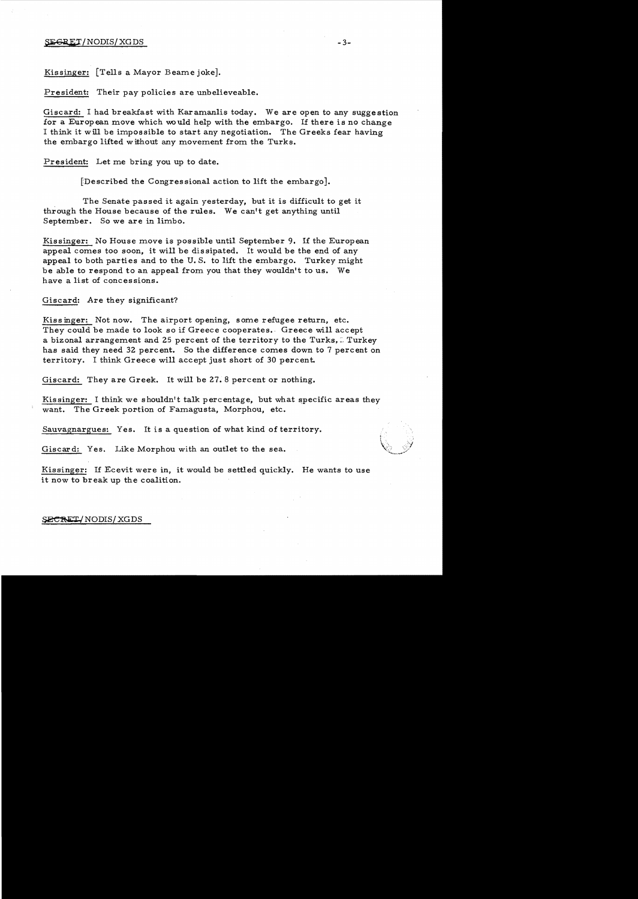## ${{\tt SEGRET}}/{{\tt NODIS}}/{{\tt XGDS}}$  -3-

Kissinger: [Tells a Mayor Beame joke].

President: Their pay policies are unbelieveable.

Giscard: I had breakfast with Karamanlis today. We are open to any suggestion for a European move which would help with the embargo. If there is no change I think it will be impossible to start any negotiation. The Greeks fear having the embargo lifted without any movement from the Turks.

President: Let me bring you up to date.

[Described the Congressional action to lift the embargo].

The Senate passed it again yesterday, but it is difficult to get it through the House because of the rules. We can't get anything until September. So we are in limbo.

Kissinger: No House move is possible until September 9. If the European appeal comes too soon, it will be dissipated. It would be the end of any appeal to both parties and to the U. S. to lift the embargo. Turkey might be able to respond to an appeal from you that they wouldn't to us. We have a list of concessions.

Giscard: Are they significant?

Kissinger: Not now. The airport opening, some refugee return, etc. They could be made to look so if Greece cooperates. Greece will accept a bizonal arrangement and 25 percent of the territory to the Turks. I Turkey has said they need 32 percent. So the difference comes down to 7 percent on territory. I think Greece will accept just short of 30 percent.

Giscard: They are Greek. It will be 27. 8 percent or nothing.

Kissinger: I think we shouldn't talk percentage, but what specific areas they want. The Greek portion of Famagusta, Morphou, etc.

Sauvagnargues: Yes. It is a question of what kind of territory.

Giscard: Yes. Like Morphou with an outlet to the sea.

Kissinger: If Ecevit were in, it would be settled quickly. He wants to use it now to break up the coalition.

#### SECRET/NODIS/XGDS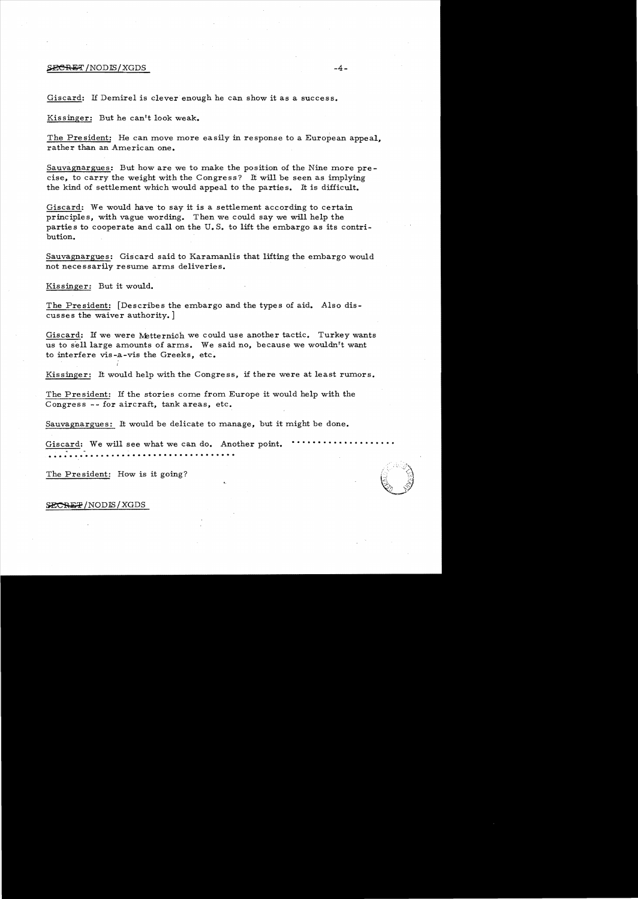#### $S$ ECRET/NODIS/XGDS  $-4-$

Giscard: If Demirel is clever enough he can show it as a success.

Kissinger: But he can't look weak.

The President: He can move more easily in response to a European appeal. rather than an American one.

Sauvagnargues: But how are we to make the position of the Nine more precise, to carry the weight with the Congress? It will be seen as implying the kind of settlement which would appeal to the parties. It is difficult.

Giscard: We would have to say it is a settlement according to certain principles, with vague wording. Then we could say we will help the parties to cooperate and call on the U.S. to lift the embargo as its contribution.

Sauvagnargues: Giscard said to Karamanlis that lifting the embargo would not necessarily resume arms deliveries.

Kissinger: But it would.

The President: [Describes the embargo and the types of aid. Also discusses the waiver authority. ]

Giscard: If we were Metternich we could use another tactic. Turkey wants us to sell large amounts of arms. We said no, because we wouldn't want to interfere vis -a-vis the Greeks, etc.

Kissinger: It would help with the Congress, if there were at least rumors.

The President: If the stories come from Europe it would help with the Congress **--** for aircraft, tank areas, etc.

Sauvagnargues: It would be delicate to manage, but it might be done.

Giscard: We will see what we can do. Another point.

The President: How is it going?

#### SECREP/NODIS/XGDS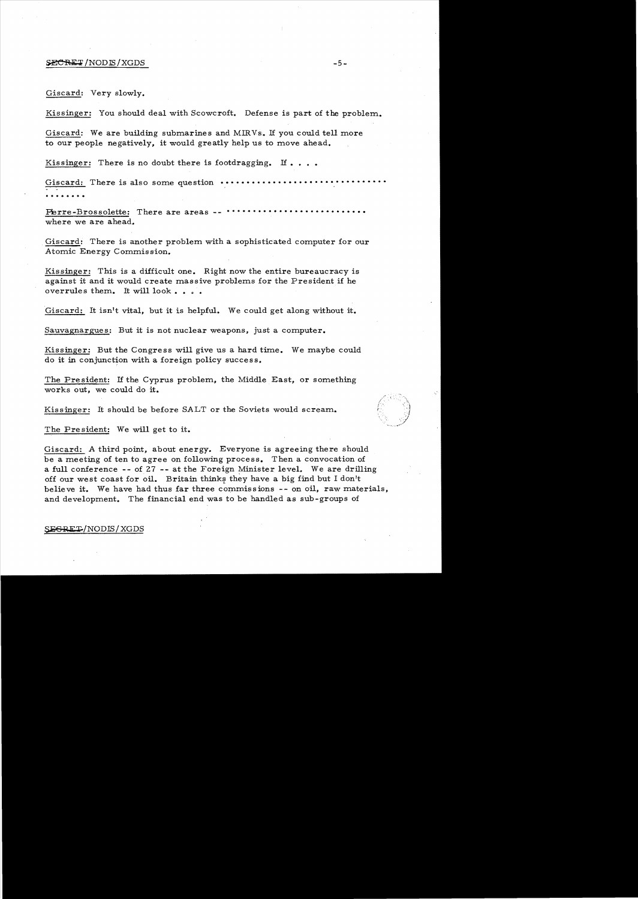#### $\texttt{SECREF}$  /NOD IS / XGDS  $-5-$

Giscard: Very slowly.

Kissinger: You should deal with Scowcroft. Defense is part of the problem.

Giscard: We are building submarines and MIRVs. If you could tell more to our people negatively, it would greatly help us to move ahead.

Kissinger: There is no doubt there is footdragging. If  $\ldots$ .

Giscard: There is also some question •••••••••••••••••••••• . . . . . .. . .

Thrre-Brossolette: There are areas **-- •••••••••••••••••••••••••••** where we are ahead.

Giscard: There is another problem with a sophisticated computer for our Atomic Energy Commission.

Kissinger: This is a difficult one. Right now the entire bureaucracy is against it and it would create massive problems for the President if he overrules them. It will look . . . .

Giscard: It isn't vital, but it is helpful. We could get along without it.

Sauvagnargues: But it is not nuclear weapons, just a computer.

Kissinger: But the Congress will give us a hard time. We maybe could do it in conjunction with a foreign policy success.

The President: If the Cyprus problem, the Middle East, or something works out, we could do it.

Kissinger: It should be before SALT or the Soviets would scream.

The President: We will get to it.

Giscard: A third point, about energy. Everyone is agreeing there should be a meeting of ten to agree on following process. Then a convocation of a full conference -- of  $27$  -- at the Foreign Minister level. We are drilling off our west coast for oil. Britain thinks they have a big find but I don't believe it. We have had thus far three commissions -- on oil, raw materials, and development. The financial end was to be handled as sub-groups of

## SEGRET/NODIS/XGDS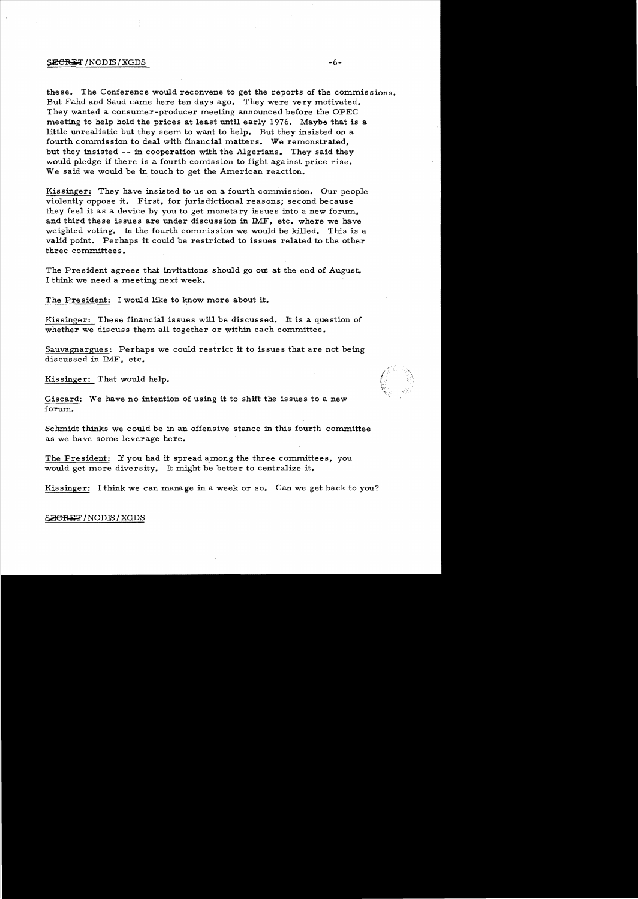### $\frac{1}{2}$   $\frac{1}{2}$   $\frac{1}{2}$   $\frac{1}{2}$   $\frac{1}{2}$   $\frac{1}{2}$   $\frac{1}{2}$   $\frac{1}{2}$   $\frac{1}{2}$   $\frac{1}{2}$   $\frac{1}{2}$   $\frac{1}{2}$   $\frac{1}{2}$   $\frac{1}{2}$   $\frac{1}{2}$   $\frac{1}{2}$   $\frac{1}{2}$   $\frac{1}{2}$   $\frac{1}{2}$   $\frac{1}{2}$   $\frac{1}{2}$   $\frac{1}{2}$

these. The Conference would reconvene to get the reports of the commissions. But Fahd and Saud came here ten days ago. They were very motivated. They wanted a consumer-producer meeting announced before the OPEC meeting to help hold the prices at least until early 1976. Maybe that is a little unrealistic but they seem to want to help. But they insisted on a fourth commission to deal with financial matters. We remonstrated, but they insisted -- in cooperation with the Algerians. They said they would pledge if there is a fourth comission to fight against price rise. We said we would be in touch to get the American reaction.

Kissinger: They have insisted to us on a fourth commission. Our people violently oppose it. First, for jurisdictional reasons; second because they feel it as a device by you to get monetary issues into a new forum, and third these issues are under discussion in IMF, etc. where we have weighted voting. In the fourth commis sion we would be killed. This is a valid point. Perhaps it could be restricted to issues related to the other three committees.

The President agrees that invitations should go out at the end of August. I think we need a meeting next week.

The Pre sident: I would like to know more about it.

Kissinger: These financial issues will be discussed. It is a question of whether we discuss them all together or within each committee.

Sauvagnargues: Perhaps we could restrict it to issues that are not being discussed in IMF, etc.

Kis singer: That would help.

Giscard: We have no intention of using it to shift the issues to a new forum.

Schmidt thinks we could be in an offensive stance in this fourth committee as we have some leverage here.

The President: If you had it spread among the three committees, you would get more diversity. It might be better to centralize it.

Kissinger: I think we can manage in a week or so. Can we get back to you?

# SECRET/NODIS/XGDS